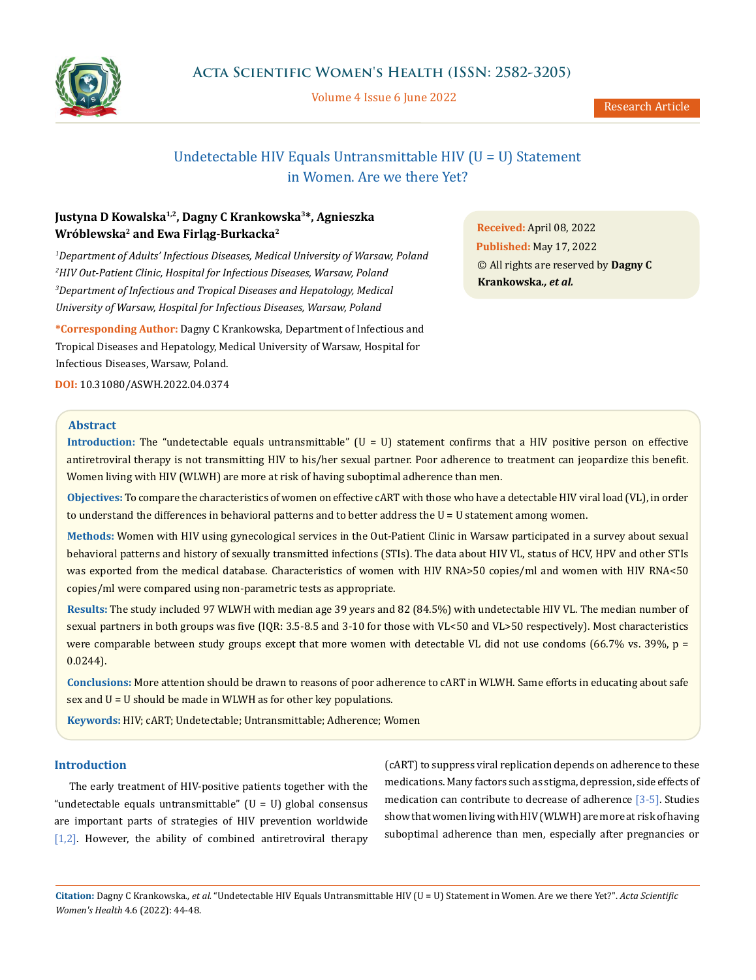

Volume 4 Issue 6 June 2022

# Undetectable HIV Equals Untransmittable HIV (U = U) Statement in Women. Are we there Yet?

# **Justyna D Kowalska1,2, Dagny C Krankowska3\*, Agnieszka Wróblewska2 and Ewa Firląg-Burkacka<sup>2</sup>**

 *Department of Adults' Infectious Diseases, Medical University of Warsaw, Poland HIV Out-Patient Clinic, Hospital for Infectious Diseases, Warsaw, Poland Department of Infectious and Tropical Diseases and Hepatology, Medical University of Warsaw, Hospital for Infectious Diseases, Warsaw, Poland* 

**\*Corresponding Author:** Dagny C Krankowska, Department of Infectious and Tropical Diseases and Hepatology, Medical University of Warsaw, Hospital for Infectious Diseases, Warsaw, Poland.

**DOI:** [10.31080/ASWH.2022.04.0374](http://actascientific.com/ASWH/pdf/ASWH-04-0374.pdf)

**Received:** April 08, 2022 **Published:** May 17, 2022 © All rights are reserved by **Dagny C Krankowska***., et al.*

# **Abstract**

**Introduction:** The "undetectable equals untransmittable" (U = U) statement confirms that a HIV positive person on effective antiretroviral therapy is not transmitting HIV to his/her sexual partner. Poor adherence to treatment can jeopardize this benefit. Women living with HIV (WLWH) are more at risk of having suboptimal adherence than men.

**Objectives:** To compare the characteristics of women on effective cART with those who have a detectable HIV viral load (VL), in order to understand the differences in behavioral patterns and to better address the U = U statement among women.

**Methods:** Women with HIV using gynecological services in the Out-Patient Clinic in Warsaw participated in a survey about sexual behavioral patterns and history of sexually transmitted infections (STIs). The data about HIV VL, status of HCV, HPV and other STIs was exported from the medical database. Characteristics of women with HIV RNA>50 copies/ml and women with HIV RNA<50 copies/ml were compared using non-parametric tests as appropriate.

**Results:** The study included 97 WLWH with median age 39 years and 82 (84.5%) with undetectable HIV VL. The median number of sexual partners in both groups was five (IQR: 3.5-8.5 and 3-10 for those with VL<50 and VL>50 respectively). Most characteristics were comparable between study groups except that more women with detectable VL did not use condoms (66.7% vs. 39%,  $p =$ 0.0244).

**Conclusions:** More attention should be drawn to reasons of poor adherence to cART in WLWH. Same efforts in educating about safe sex and U = U should be made in WLWH as for other key populations.

**Keywords:** HIV; cART; Undetectable; Untransmittable; Adherence; Women

## **Introduction**

The early treatment of HIV-positive patients together with the "undetectable equals untransmittable"  $(U = U)$  global consensus are important parts of strategies of HIV prevention worldwide  $[1,2]$ . However, the ability of combined antiretroviral therapy

(cART) to suppress viral replication depends on adherence to these medications. Many factors such as stigma, depression, side effects of medication can contribute to decrease of adherence [3-5]. Studies show that women living with HIV (WLWH) are more at risk of having suboptimal adherence than men, especially after pregnancies or

**Citation:** Dagny C Krankowska*., et al.* "Undetectable HIV Equals Untransmittable HIV (U = U) Statement in Women. Are we there Yet?". *Acta Scientific Women's Health* 4.6 (2022): 44-48.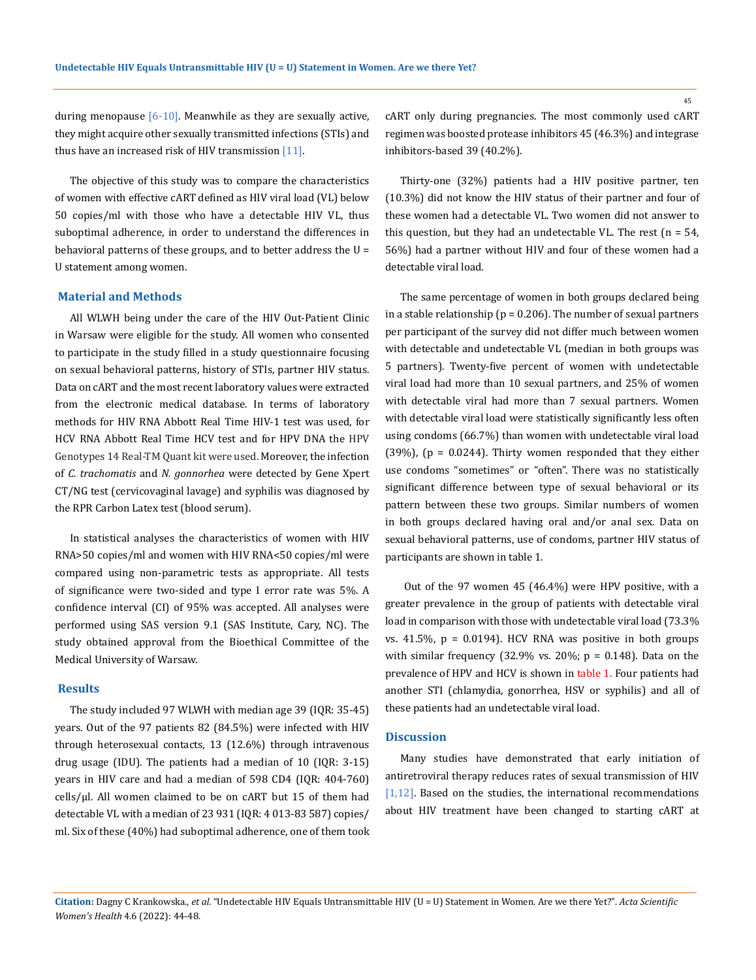during menopause  $[6-10]$ . Meanwhile as they are sexually active, they might acquire other sexually transmitted infections (STIs) and thus have an increased risk of HIV transmission  $[11]$ .

The objective of this study was to compare the characteristics of women with effective cART defined as HIV viral load (VL) below 50 copies/ml with those who have a detectable HIV VL, thus suboptimal adherence, in order to understand the differences in behavioral patterns of these groups, and to better address the U = U statement among women.

### **Material and Methods**

All WLWH being under the care of the HIV Out-Patient Clinic in Warsaw were eligible for the study. All women who consented to participate in the study filled in a study questionnaire focusing on sexual behavioral patterns, history of STIs, partner HIV status. Data on cART and the most recent laboratory values were extracted from the electronic medical database. In terms of laboratory methods for HIV RNA Abbott Real Time HIV-1 test was used, for HCV RNA Abbott Real Time HCV test and for HPV DNA the HPV Genotypes 14 Real-TM Quant kit were used. Moreover, the infection of *C. trachomatis* and *N. gonnorhea* were detected by Gene Xpert CT/NG test (cervicovaginal lavage) and syphilis was diagnosed by the RPR Carbon Latex test (blood serum).

In statistical analyses the characteristics of women with HIV RNA>50 copies/ml and women with HIV RNA<50 copies/ml were compared using non-parametric tests as appropriate. All tests of significance were two-sided and type I error rate was 5%. A confidence interval (CI) of 95% was accepted. All analyses were performed using SAS version 9.1 (SAS Institute, Cary, NC). The study obtained approval from the Bioethical Committee of the Medical University of Warsaw.

#### **Results**

The study included 97 WLWH with median age 39 (IQR: 35-45) years. Out of the 97 patients 82 (84.5%) were infected with HIV through heterosexual contacts, 13 (12.6%) through intravenous drug usage (IDU). The patients had a median of 10 (IQR: 3-15) years in HIV care and had a median of 598 CD4 (IQR: 404-760)  $cells/µl.$  All women claimed to be on  $cART$  but 15 of them had detectable VL with a median of 23 931 (IQR: 4 013-83 587) copies/ ml. Six of these (40%) had suboptimal adherence, one of them took cART only during pregnancies. The most commonly used cART regimen was boosted protease inhibitors 45 (46.3%) and integrase inhibitors-based 39 (40.2%).

Thirty-one (32%) patients had a HIV positive partner, ten (10.3%) did not know the HIV status of their partner and four of these women had a detectable VL. Two women did not answer to this question, but they had an undetectable VL. The rest ( $n = 54$ , 56%) had a partner without HIV and four of these women had a detectable viral load.

The same percentage of women in both groups declared being in a stable relationship ( $p = 0.206$ ). The number of sexual partners per participant of the survey did not differ much between women with detectable and undetectable VL (median in both groups was 5 partners). Twenty-five percent of women with undetectable viral load had more than 10 sexual partners, and 25% of women with detectable viral had more than 7 sexual partners. Women with detectable viral load were statistically significantly less often using condoms (66.7%) than women with undetectable viral load (39%), ( $p = 0.0244$ ). Thirty women responded that they either use condoms "sometimes" or "often". There was no statistically significant difference between type of sexual behavioral or its pattern between these two groups. Similar numbers of women in both groups declared having oral and/or anal sex. Data on sexual behavioral patterns, use of condoms, partner HIV status of participants are shown in table 1.

 Out of the 97 women 45 (46.4%) were HPV positive, with a greater prevalence in the group of patients with detectable viral load in comparison with those with undetectable viral load (73.3% vs.  $41.5\%$ ,  $p = 0.0194$ ). HCV RNA was positive in both groups with similar frequency (32.9% vs. 20%;  $p = 0.148$ ). Data on the prevalence of HPV and HCV is shown in table 1. Four patients had another STI (chlamydia, gonorrhea, HSV or syphilis) and all of these patients had an undetectable viral load.

#### **Discussion**

Many studies have demonstrated that early initiation of antiretroviral therapy reduces rates of sexual transmission of HIV [1,12]. Based on the studies, the international recommendations about HIV treatment have been changed to starting cART at

**Citation:** Dagny C Krankowska*., et al.* "Undetectable HIV Equals Untransmittable HIV (U = U) Statement in Women. Are we there Yet?". *Acta Scientific Women's Health* 4.6 (2022): 44-48.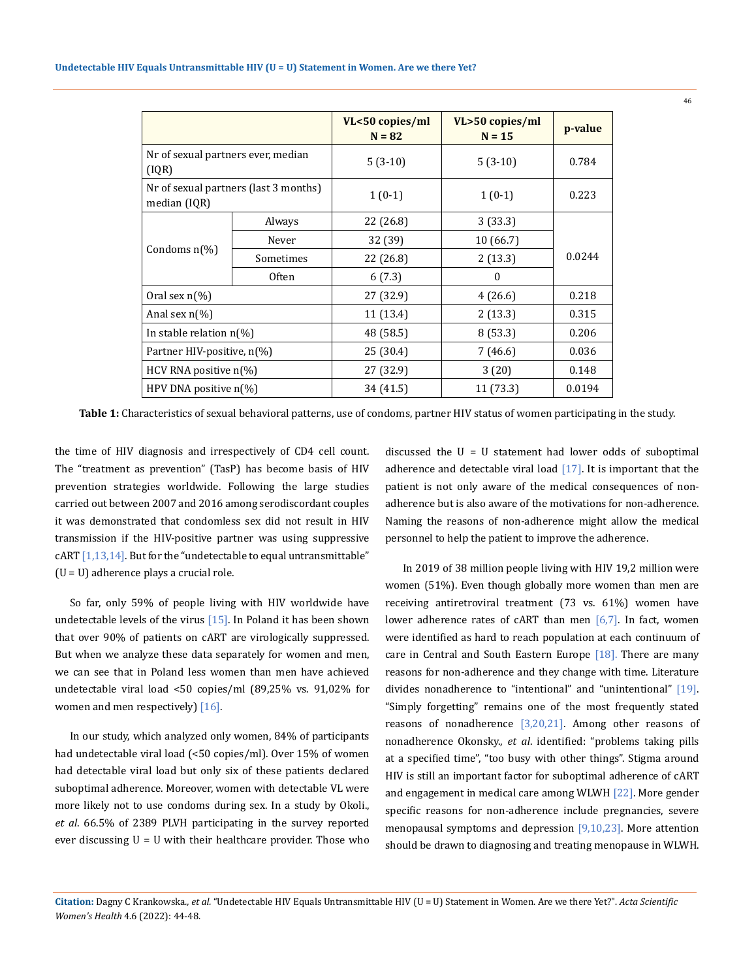|                                                       |           | VL<50 copies/ml<br>$N = 82$ | VL>50 copies/ml<br>$N = 15$ | p-value |
|-------------------------------------------------------|-----------|-----------------------------|-----------------------------|---------|
| Nr of sexual partners ever, median<br>(IQR)           |           | $5(3-10)$                   | $5(3-10)$                   | 0.784   |
| Nr of sexual partners (last 3 months)<br>median (IQR) |           | $1(0-1)$                    | $1(0-1)$                    | 0.223   |
| Condoms $n\binom{0}{0}$                               | Always    | 22 (26.8)                   | 3(33.3)                     | 0.0244  |
|                                                       | Never     | 32 (39)                     | 10 (66.7)                   |         |
|                                                       | Sometimes | 22 (26.8)                   | 2(13.3)                     |         |
|                                                       | Often     | 6(7.3)                      | $\mathbf{0}$                |         |
| Oral sex $n\lceil\% \rceil$                           |           | 27 (32.9)                   | 4(26.6)                     | 0.218   |
| Anal sex $n\lceil\!\sqrt{6}\rceil$                    |           | 11 (13.4)                   | 2(13.3)                     | 0.315   |
| In stable relation $n\frac{1}{6}$                     |           | 48 (58.5)                   | 8(53.3)                     | 0.206   |
| Partner HIV-positive, n(%)                            |           | 25 (30.4)                   | 7(46.6)                     | 0.036   |
| HCV RNA positive $n\frac{1}{6}$                       |           | 27 (32.9)                   | 3(20)                       | 0.148   |
| HPV DNA positive $n\frac{1}{6}$                       |           | 34 (41.5)                   | 11(73.3)                    | 0.0194  |

**Table 1:** Characteristics of sexual behavioral patterns, use of condoms, partner HIV status of women participating in the study.

the time of HIV diagnosis and irrespectively of CD4 cell count. The "treatment as prevention" (TasP) has become basis of HIV prevention strategies worldwide. Following the large studies carried out between 2007 and 2016 among serodiscordant couples it was demonstrated that condomless sex did not result in HIV transmission if the HIV-positive partner was using suppressive  $cART [1,13,14]$ . But for the "undetectable to equal untransmittable" (U = U) adherence plays a crucial role.

So far, only 59% of people living with HIV worldwide have undetectable levels of the virus  $[15]$ . In Poland it has been shown that over 90% of patients on cART are virologically suppressed. But when we analyze these data separately for women and men, we can see that in Poland less women than men have achieved undetectable viral load <50 copies/ml (89,25% vs. 91,02% for women and men respectively) [16].

In our study, which analyzed only women, 84% of participants had undetectable viral load (<50 copies/ml). Over 15% of women had detectable viral load but only six of these patients declared suboptimal adherence. Moreover, women with detectable VL were more likely not to use condoms during sex. In a study by Okoli., *et al*. 66.5% of 2389 PLVH participating in the survey reported ever discussing U = U with their healthcare provider. Those who discussed the  $U = U$  statement had lower odds of suboptimal adherence and detectable viral load [17]. It is important that the patient is not only aware of the medical consequences of nonadherence but is also aware of the motivations for non-adherence. Naming the reasons of non-adherence might allow the medical personnel to help the patient to improve the adherence.

 In 2019 of 38 million people living with HIV 19,2 million were women (51%). Even though globally more women than men are receiving antiretroviral treatment (73 vs. 61%) women have lower adherence rates of cART than men [6,7]. In fact, women were identified as hard to reach population at each continuum of care in Central and South Eastern Europe  $[18]$ . There are many reasons for non-adherence and they change with time. Literature divides nonadherence to "intentional" and "unintentional" [19]. "Simply forgetting" remains one of the most frequently stated reasons of nonadherence [3,20,21]. Among other reasons of nonadherence Okonsky., *et al*. identified: "problems taking pills at a specified time", "too busy with other things". Stigma around HIV is still an important factor for suboptimal adherence of cART and engagement in medical care among WLWH [22]. More gender specific reasons for non-adherence include pregnancies, severe menopausal symptoms and depression [9,10,23]. More attention should be drawn to diagnosing and treating menopause in WLWH.

**Citation:** Dagny C Krankowska*., et al.* "Undetectable HIV Equals Untransmittable HIV (U = U) Statement in Women. Are we there Yet?". *Acta Scientific Women's Health* 4.6 (2022): 44-48.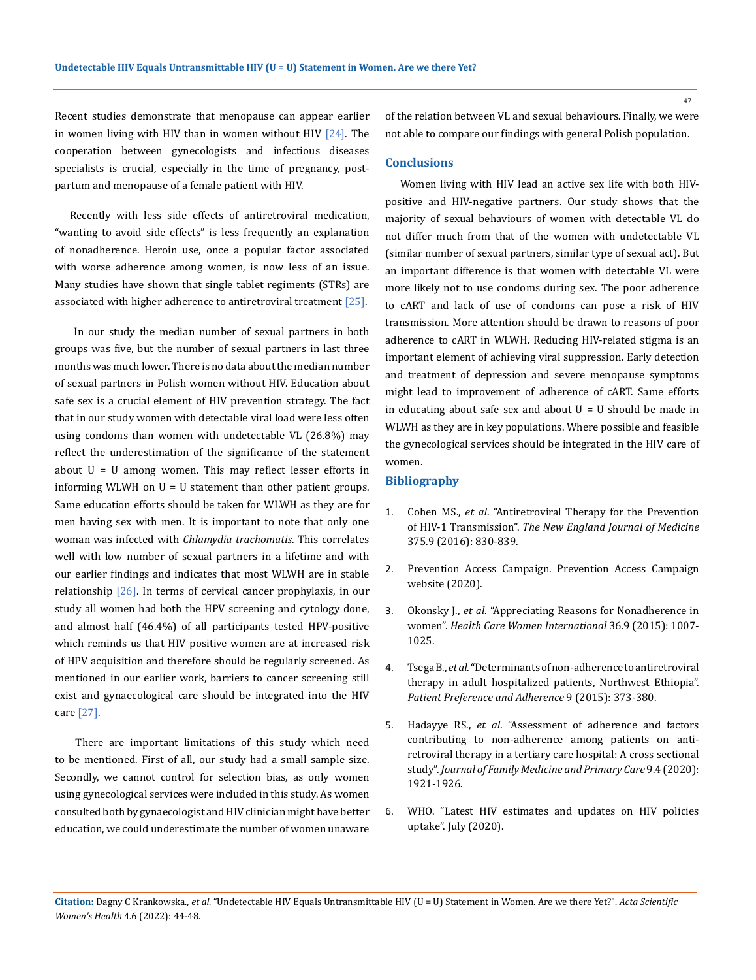Recent studies demonstrate that menopause can appear earlier in women living with HIV than in women without HIV [24]. The cooperation between gynecologists and infectious diseases specialists is crucial, especially in the time of pregnancy, postpartum and menopause of a female patient with HIV.

Recently with less side effects of antiretroviral medication, "wanting to avoid side effects" is less frequently an explanation of nonadherence. Heroin use, once a popular factor associated with worse adherence among women, is now less of an issue. Many studies have shown that single tablet regiments (STRs) are associated with higher adherence to antiretroviral treatment  $[25]$ .

 In our study the median number of sexual partners in both groups was five, but the number of sexual partners in last three months was much lower. There is no data about the median number of sexual partners in Polish women without HIV. Education about safe sex is a crucial element of HIV prevention strategy. The fact that in our study women with detectable viral load were less often using condoms than women with undetectable VL (26.8%) may reflect the underestimation of the significance of the statement about  $U = U$  among women. This may reflect lesser efforts in informing WLWH on U = U statement than other patient groups. Same education efforts should be taken for WLWH as they are for men having sex with men. It is important to note that only one woman was infected with *Chlamydia trachomatis*. This correlates well with low number of sexual partners in a lifetime and with our earlier findings and indicates that most WLWH are in stable relationship  $[26]$ . In terms of cervical cancer prophylaxis, in our study all women had both the HPV screening and cytology done, and almost half (46.4%) of all participants tested HPV-positive which reminds us that HIV positive women are at increased risk of HPV acquisition and therefore should be regularly screened. As mentioned in our earlier work, barriers to cancer screening still exist and gynaecological care should be integrated into the HIV care [27].

 There are important limitations of this study which need to be mentioned. First of all, our study had a small sample size. Secondly, we cannot control for selection bias, as only women using gynecological services were included in this study. As women consulted both by gynaecologist and HIV clinician might have better education, we could underestimate the number of women unaware of the relation between VL and sexual behaviours. Finally, we were not able to compare our findings with general Polish population.

#### **Conclusions**

Women living with HIV lead an active sex life with both HIVpositive and HIV-negative partners. Our study shows that the majority of sexual behaviours of women with detectable VL do not differ much from that of the women with undetectable VL (similar number of sexual partners, similar type of sexual act). But an important difference is that women with detectable VL were more likely not to use condoms during sex. The poor adherence to cART and lack of use of condoms can pose a risk of HIV transmission. More attention should be drawn to reasons of poor adherence to cART in WLWH. Reducing HIV-related stigma is an important element of achieving viral suppression. Early detection and treatment of depression and severe menopause symptoms might lead to improvement of adherence of cART. Same efforts in educating about safe sex and about  $U = U$  should be made in WLWH as they are in key populations. Where possible and feasible the gynecological services should be integrated in the HIV care of women.

### **Bibliography**

- 1. Cohen MS., *et al*[. "Antiretroviral Therapy for the Prevention](https://www.nejm.org/doi/full/10.1056/nejmoa1600693)  of HIV-1 Transmission". *[The New England Journal of Medicine](https://www.nejm.org/doi/full/10.1056/nejmoa1600693)*  [375.9 \(2016\): 830-839.](https://www.nejm.org/doi/full/10.1056/nejmoa1600693)
- 2. Prevention Access Campaign. Prevention Access Campaign website (2020).
- 3. Okonsky J., *et al*[. "Appreciating Reasons for Nonadherence in](https://www.ncbi.nlm.nih.gov/pmc/articles/PMC4286531/)  women". *[Health Care Women International](https://www.ncbi.nlm.nih.gov/pmc/articles/PMC4286531/)* 36.9 (2015): 1007- [1025.](https://www.ncbi.nlm.nih.gov/pmc/articles/PMC4286531/)
- 4. Tsega B., *et al*[. "Determinants of non-adherence to antiretroviral](https://pubmed.ncbi.nlm.nih.gov/25784793/)  [therapy in adult hospitalized patients, Northwest Ethiopia".](https://pubmed.ncbi.nlm.nih.gov/25784793/)  *[Patient Preference and Adherence](https://pubmed.ncbi.nlm.nih.gov/25784793/)* 9 (2015): 373-380.
- 5. Hadayye RS., *et al*[. "Assessment of adherence and factors](https://pubmed.ncbi.nlm.nih.gov/32670941/)  [contributing to non-adherence among patients on anti](https://pubmed.ncbi.nlm.nih.gov/32670941/)[retroviral therapy in a tertiary care hospital: A cross sectional](https://pubmed.ncbi.nlm.nih.gov/32670941/)  study". *[Journal of Family Medicine and Primary Care](https://pubmed.ncbi.nlm.nih.gov/32670941/)* 9.4 (2020): [1921-1926.](https://pubmed.ncbi.nlm.nih.gov/32670941/)
- 6. [WHO. "Latest HIV estimates and updates on HIV policies](https://www.who.int/docs/default-source/hiv-hq/presentation-international-aids-conference-)  [uptake". July \(2020\).](https://www.who.int/docs/default-source/hiv-hq/presentation-international-aids-conference-)

47

**Citation:** Dagny C Krankowska*., et al.* "Undetectable HIV Equals Untransmittable HIV (U = U) Statement in Women. Are we there Yet?". *Acta Scientific Women's Health* 4.6 (2022): 44-48.